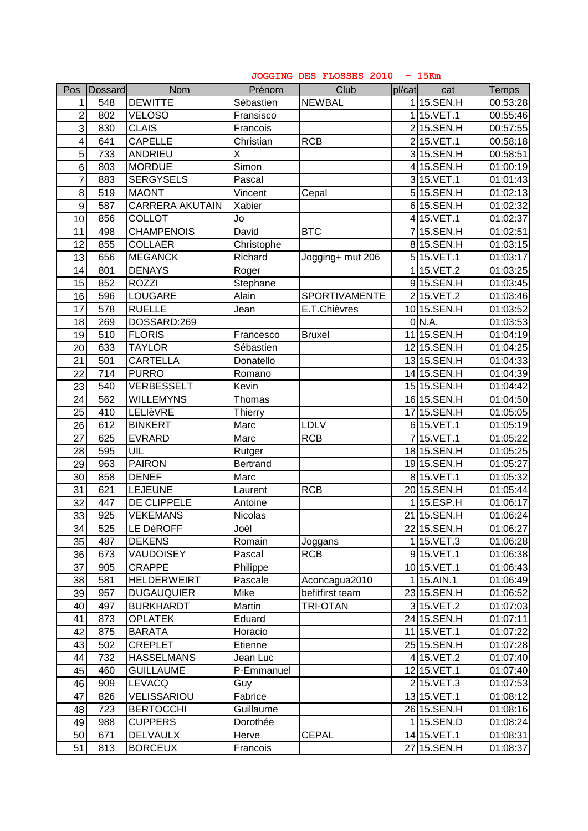|                 | JOGGING DES FLOSSES 2010 - 15Km |                        |                 |                  |        |               |          |  |
|-----------------|---------------------------------|------------------------|-----------------|------------------|--------|---------------|----------|--|
| Pos             | <b>Dossard</b>                  | <b>Nom</b>             | Prénom          | Club             | pl/cat | cat           | Temps    |  |
| 1               | 548                             | <b>DEWITTE</b>         | Sébastien       | <b>NEWBAL</b>    |        | 115.SEN.H     | 00:53:28 |  |
| $\overline{2}$  | 802                             | <b>VELOSO</b>          | Fransisco       |                  |        | 115.VET.1     | 00:55:46 |  |
| $\overline{3}$  | 830                             | <b>CLAIS</b>           | Francois        |                  |        | 215.SEN.H     | 00:57:55 |  |
| $\vert 4 \vert$ | 641                             | <b>CAPELLE</b>         | Christian       | <b>RCB</b>       |        | 215.VET.1     | 00:58:18 |  |
| $\overline{5}$  | 733                             | <b>ANDRIEU</b>         | X               |                  |        | 315.SEN.H     | 00:58:51 |  |
| 6 <sup>1</sup>  | 803                             | <b>MORDUE</b>          | Simon           |                  |        | 415.SEN.H     | 01:00:19 |  |
| $\overline{7}$  | 883                             | <b>SERGYSELS</b>       | Pascal          |                  |        | 3 15. VET. 1  | 01:01:43 |  |
| $\mathbf{8}$    | 519                             | <b>MAONT</b>           | Vincent         | Cepal            |        | 515.SEN.H     | 01:02:13 |  |
| $\mathsf{g}$    | 587                             | <b>CARRERA AKUTAIN</b> | Xabier          |                  |        | 615.SEN.H     | 01:02:32 |  |
| 10              | 856                             | <b>COLLOT</b>          | Jo              |                  |        | 415.VET.1     | 01:02:37 |  |
| 11              | 498                             | <b>CHAMPENOIS</b>      | David           | <b>BTC</b>       |        | 715.SEN.H     | 01:02:51 |  |
| 12              | 855                             | <b>COLLAER</b>         | Christophe      |                  |        | 8 15.SEN.H    | 01:03:15 |  |
| 13              | 656                             | <b>MEGANCK</b>         | Richard         | Jogging+ mut 206 |        | 515.VET.1     | 01:03:17 |  |
| 14              | 801                             | <b>DENAYS</b>          | Roger           |                  |        | 115.VET.2     | 01:03:25 |  |
| 15              | 852                             | <b>ROZZI</b>           | Stephane        |                  |        | 915.SEN.H     | 01:03:45 |  |
| 16              | 596                             | <b>LOUGARE</b>         | Alain           | SPORTIVAMENTE    |        | 215.VET.2     | 01:03:46 |  |
| 17              | 578                             | <b>RUELLE</b>          | Jean            | E.T.Chièvres     |        | 10 15. SEN. H | 01:03:52 |  |
| 18              | 269                             | DOSSARD:269            |                 |                  |        | $0\vert N.A.$ | 01:03:53 |  |
| 19              | 510                             | <b>FLORIS</b>          | Francesco       | <b>Bruxel</b>    |        | 11 15.SEN.H   | 01:04:19 |  |
| 20              | 633                             | <b>TAYLOR</b>          | Sébastien       |                  |        | 12 15. SEN. H | 01:04:25 |  |
| 21              | 501                             | <b>CARTELLA</b>        | Donatello       |                  |        | 13 15.SEN.H   | 01:04:33 |  |
| 22              | 714                             | <b>PURRO</b>           | Romano          |                  |        | 14 15.SEN.H   | 01:04:39 |  |
| 23              | 540                             | <b>VERBESSELT</b>      | Kevin           |                  |        | 15 15.SEN.H   | 01:04:42 |  |
| 24              | 562                             | <b>WILLEMYNS</b>       | Thomas          |                  |        | 16 15.SEN.H   | 01:04:50 |  |
| 25              | 410                             | LELIèVRE               | Thierry         |                  |        | 1715.SEN.H    | 01:05:05 |  |
| 26              | 612                             | <b>BINKERT</b>         | Marc            | <b>LDLV</b>      |        | 6 15. VET. 1  | 01:05:19 |  |
| $\overline{27}$ | 625                             | <b>EVRARD</b>          | Marc            | <b>RCB</b>       |        | 15.VET.1      | 01:05:22 |  |
| 28              | 595                             | UIL                    | Rutger          |                  |        | 18 15. SEN. H | 01:05:25 |  |
| 29              | 963                             | <b>PAIRON</b>          | <b>Bertrand</b> |                  |        | 1915.SEN.H    | 01:05:27 |  |
| 30              | 858                             | <b>DENEF</b>           | Marc            |                  |        | 815.VET.1     | 01:05:32 |  |
| 31              | 621                             | <b>LEJEUNE</b>         | Laurent         | <b>RCB</b>       |        | 2015.SEN.H    | 01:05:44 |  |
| $\overline{32}$ | 447                             | DE CLIPPELE            | Antoine         |                  |        | 15.ESP.H      | 01:06:17 |  |
| 33              | 925                             | <b>VEKEMANS</b>        | Nicolas         |                  |        | 21 15.SEN.H   | 01:06:24 |  |
| 34              | 525                             | LE DéROFF              | Joël            |                  |        | 22 15.SEN.H   | 01:06:27 |  |
| 35              | 487                             | <b>DEKENS</b>          | Romain          | Joggans          |        | 115.VET.3     | 01:06:28 |  |
| 36              | 673                             | <b>VAUDOISEY</b>       | Pascal          | <b>RCB</b>       |        | 915.VET.1     | 01:06:38 |  |
| 37              | 905                             | <b>CRAPPE</b>          | Philippe        |                  |        | 10 15.VET.1   | 01:06:43 |  |
| 38              | 581                             | <b>HELDERWEIRT</b>     | Pascale         | Aconcagua2010    |        | 15.AIN.1      | 01:06:49 |  |
| 39              | 957                             | <b>DUGAUQUIER</b>      | Mike            | befitfirst team  |        | 23 15.SEN.H   | 01:06:52 |  |
| 40              | 497                             | <b>BURKHARDT</b>       | Martin          | <b>TRI-OTAN</b>  |        | 315.VET.2     | 01:07:03 |  |
| 41              | 873                             | <b>OPLATEK</b>         | Eduard          |                  |        | 24 15. SEN. H | 01:07:11 |  |
| 42              | 875                             | <b>BARATA</b>          | Horacio         |                  |        | 11 15. VET. 1 | 01:07:22 |  |
| 43              | 502                             | <b>CREPLET</b>         | Etienne         |                  |        | 25 15.SEN.H   | 01:07:28 |  |
| 44              | 732                             | <b>HASSELMANS</b>      | Jean Luc        |                  |        | $4 15.$ VET.2 | 01:07:40 |  |
| 45              | 460                             | <b>GUILLAUME</b>       | P-Emmanuel      |                  |        | 12 15. VET. 1 | 01:07:40 |  |
| 46              | 909                             | <b>LEVACQ</b>          | Guy             |                  |        | 215.VET.3     | 01:07:53 |  |
| 47              | 826                             | VELISSARIOU            | Fabrice         |                  |        | 13 15. VET. 1 | 01:08:12 |  |
| 48              | 723                             | <b>BERTOCCHI</b>       | Guillaume       |                  |        | 26 15.SEN.H   | 01:08:16 |  |
| 49              | 988                             | <b>CUPPERS</b>         | Dorothée        |                  |        | 115.SEN.D     | 01:08:24 |  |
| 50              | 671                             | <b>DELVAULX</b>        | Herve           | <b>CEPAL</b>     |        | 14 15. VET. 1 | 01:08:31 |  |
| 51              | 813                             | <b>BORCEUX</b>         | Francois        |                  |        | 27 15.SEN.H   | 01:08:37 |  |
|                 |                                 |                        |                 |                  |        |               |          |  |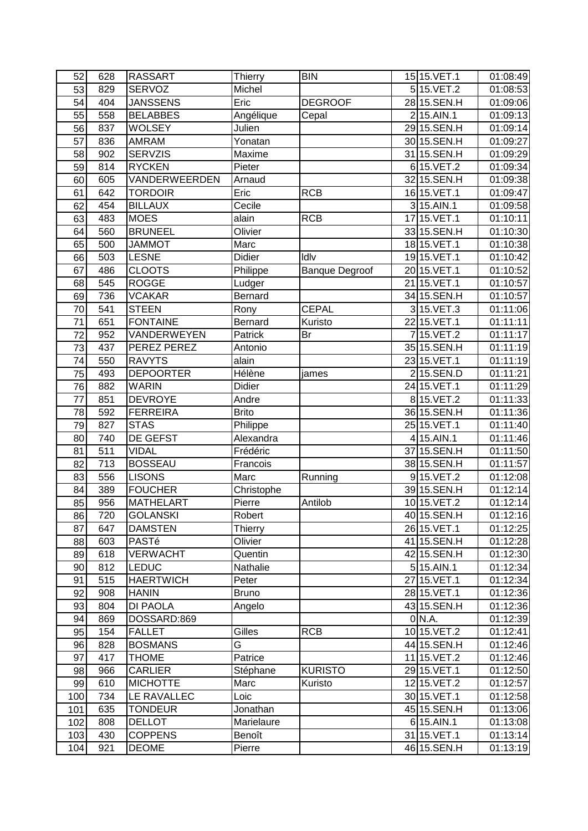| 52              | 628 | <b>RASSART</b>                 | <b>Thierry</b> | <b>BIN</b>            | 15 15. VET. 1              | 01:08:49 |
|-----------------|-----|--------------------------------|----------------|-----------------------|----------------------------|----------|
| 53              | 829 | SERVOZ                         | Michel         |                       | 515.VET.2                  | 01:08:53 |
| 54              | 404 | <b>JANSSENS</b>                | Eric           | <b>DEGROOF</b>        | 28 15. SEN. H              | 01:09:06 |
| 55              | 558 | <b>BELABBES</b>                | Angélique      | Cepal                 | $215.$ AIN.1               | 01:09:13 |
| 56              | 837 | <b>WOLSEY</b>                  | Julien         |                       | 29 15.SEN.H                | 01:09:14 |
| 57              | 836 | <b>AMRAM</b>                   | Yonatan        |                       | 30 15.SEN.H                | 01:09:27 |
| 58              | 902 | <b>SERVZIS</b>                 | Maxime         |                       | 31 15.SEN.H                | 01:09:29 |
| $\overline{59}$ | 814 | <b>RYCKEN</b>                  | Pieter         |                       | 615.VET.2                  | 01:09:34 |
| 60              | 605 | VANDERWEERDEN                  | Arnaud         |                       | 32 15. SEN. H              | 01:09:38 |
| 61              | 642 | <b>TORDOIR</b>                 | Eric           | <b>RCB</b>            | 16 15. VET. 1              | 01:09:47 |
| 62              | 454 | <b>BILLAUX</b>                 | Cecile         |                       | $3 15.$ AIN.1              | 01:09:58 |
| 63              | 483 | <b>MOES</b>                    | alain          | <b>RCB</b>            | 17 15. VET. 1              | 01:10:11 |
| 64              | 560 | <b>BRUNEEL</b>                 | Olivier        |                       | 33 15.SEN.H                | 01:10:30 |
| 65              | 500 | <b>JAMMOT</b>                  | Marc           |                       | 18 15. VET. 1              | 01:10:38 |
| 66              | 503 | <b>LESNE</b>                   | <b>Didier</b>  | Idlv                  | 19 15. VET. 1              | 01:10:42 |
| 67              | 486 | <b>CLOOTS</b>                  | Philippe       | <b>Banque Degroof</b> | 20 15. VET. 1              | 01:10:52 |
| 68              | 545 | <b>ROGGE</b>                   | Ludger         |                       | 21 15. VET. 1              | 01:10:57 |
| 69              | 736 | <b>VCAKAR</b>                  | Bernard        |                       | 34 15.SEN.H                | 01:10:57 |
| 70              | 541 | <b>STEEN</b>                   |                | <b>CEPAL</b>          | 315.VET.3                  | 01:11:06 |
| 71              |     |                                | Rony           |                       |                            |          |
|                 | 651 | <b>FONTAINE</b><br>VANDERWEYEN | Bernard        | Kuristo               | 22 15. VET. 1<br>715.VET.2 | 01:11:11 |
| 72              | 952 |                                | Patrick        | Br                    |                            | 01:11:17 |
| 73              | 437 | PEREZ PEREZ                    | Antonio        |                       | 35 15.SEN.H                | 01:11:19 |
| 74              | 550 | <b>RAVYTS</b>                  | alain          |                       | 23 15. VET. 1              | 01:11:19 |
| 75              | 493 | <b>DEPOORTER</b>               | Hélène         | james                 | 215.SEN.D                  | 01:11:21 |
| 76              | 882 | <b>WARIN</b>                   | Didier         |                       | 24 15. VET. 1              | 01:11:29 |
| 77              | 851 | <b>DEVROYE</b>                 | Andre          |                       | 815.VET.2                  | 01:11:33 |
| 78              | 592 | <b>FERREIRA</b>                | <b>Brito</b>   |                       | 36 15.SEN.H                | 01:11:36 |
| 79              | 827 | <b>STAS</b>                    | Philippe       |                       | 25 15. VET. 1              | 01:11:40 |
| 80              | 740 | DE GEFST                       | Alexandra      |                       | 4 15.AIN.1                 | 01:11:46 |
| 81              | 511 | <b>VIDAL</b>                   | Frédéric       |                       | 37 15.SEN.H                | 01:11:50 |
| 82              | 713 | <b>BOSSEAU</b>                 | Francois       |                       | 38 15.SEN.H                | 01:11:57 |
| 83              | 556 | <b>LISONS</b>                  | Marc           | Running               | 915.VET.2                  | 01:12:08 |
| 84              | 389 | <b>FOUCHER</b>                 | Christophe     |                       | 39 15.SEN.H                | 01:12:14 |
| 85              | 956 | <b>MATHELART</b>               | Pierre         | Antilob               | 10 15. VET. 2              | 01:12:14 |
| 86              | 720 | <b>GOLANSKI</b>                | Robert         |                       | 40 15.SEN.H                | 01:12:16 |
| 87              | 647 | <b>DAMSTEN</b>                 | Thierry        |                       | 26 15. VET. 1              | 01:12:25 |
| 88              | 603 | PASTé                          | Olivier        |                       | 41 15.SEN.H                | 01:12:28 |
| 89              | 618 | <b>VERWACHT</b>                | Quentin        |                       | 42 15. SEN. H              | 01:12:30 |
| 90              | 812 | <b>LEDUC</b>                   | Nathalie       |                       | $5 15.$ AIN.1              | 01:12:34 |
| 91              | 515 | <b>HAERTWICH</b>               | Peter          |                       | 27 15. VET. 1              | 01:12:34 |
| 92              | 908 | <b>HANIN</b>                   | <b>Bruno</b>   |                       | 28 15. VET. 1              | 01:12:36 |
| 93              | 804 | DI PAOLA                       | Angelo         |                       | 43 15.SEN.H                | 01:12:36 |
| 94              | 869 | DOSSARD:869                    |                |                       | $0\,$ N.A.                 | 01:12:39 |
| 95              | 154 | <b>FALLET</b>                  | Gilles         | <b>RCB</b>            | 10 15. VET. 2              | 01:12:41 |
| 96              | 828 | <b>BOSMANS</b>                 | G              |                       | 44 15.SEN.H                | 01:12:46 |
| 97              | 417 | <b>THOME</b>                   | Patrice        |                       | 11 15. VET. 2              | 01:12:46 |
| 98              | 966 | <b>CARLIER</b>                 | Stéphane       | <b>KURISTO</b>        | 29 15. VET. 1              | 01:12:50 |
| 99              | 610 | <b>MICHOTTE</b>                | Marc           | Kuristo               | 12 15. VET. 2              | 01:12:57 |
| 100             | 734 | LE RAVALLEC                    | Loic           |                       | 30 15.VET.1                | 01:12:58 |
| 101             | 635 | <b>TONDEUR</b>                 | Jonathan       |                       | 45 15.SEN.H                | 01:13:06 |
| 102             | 808 | <b>DELLOT</b>                  | Marielaure     |                       | 6 15.AIN.1                 | 01:13:08 |
| 103             | 430 | <b>COPPENS</b>                 | Benoît         |                       | 31 15. VET. 1              | 01:13:14 |
| 104             | 921 | <b>DEOME</b>                   | Pierre         |                       | 46 15.SEN.H                | 01:13:19 |
|                 |     |                                |                |                       |                            |          |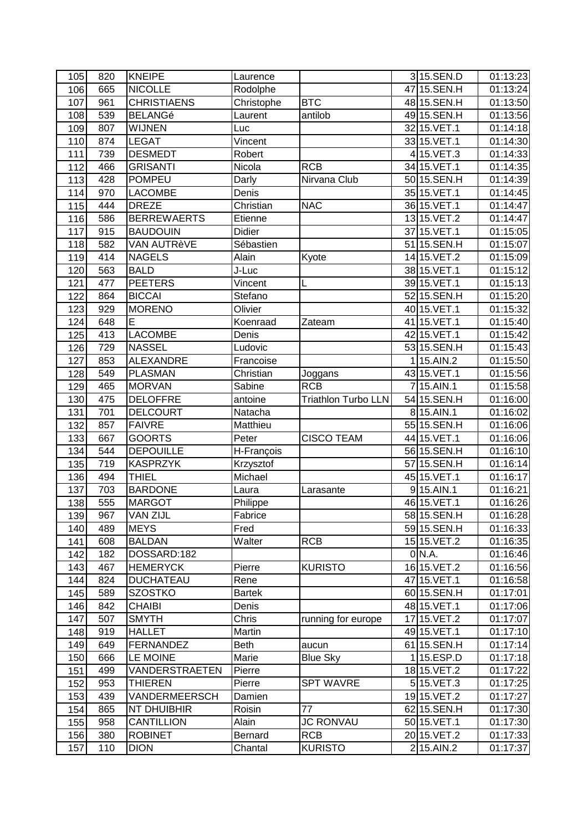| 105 | 820 | <b>KNEIPE</b>      | Laurence    |                            | 315.SEN.D     | 01:13:23 |
|-----|-----|--------------------|-------------|----------------------------|---------------|----------|
| 106 | 665 | <b>NICOLLE</b>     | Rodolphe    |                            | 47 15.SEN.H   | 01:13:24 |
| 107 | 961 | <b>CHRISTIAENS</b> | Christophe  | <b>BTC</b>                 | 48 15.SEN.H   | 01:13:50 |
| 108 | 539 | <b>BELANGé</b>     | Laurent     | antilob                    | 49 15.SEN.H   | 01:13:56 |
| 109 | 807 | <b>WIJNEN</b>      | Luc         |                            | 32 15. VET. 1 | 01:14:18 |
| 110 | 874 | <b>LEGAT</b>       | Vincent     |                            | 33 15. VET. 1 | 01:14:30 |
| 111 | 739 | <b>DESMEDT</b>     | Robert      |                            | 415.VET.3     | 01:14:33 |
| 112 | 466 | <b>GRISANTI</b>    | Nicola      | <b>RCB</b>                 | 34 15. VET. 1 | 01:14:35 |
| 113 | 428 | <b>POMPEU</b>      | Darly       | Nirvana Club               | 50 15.SEN.H   | 01:14:39 |
| 114 | 970 | <b>LACOMBE</b>     | Denis       |                            | 35 15.VET.1   | 01:14:45 |
| 115 | 444 | <b>DREZE</b>       | Christian   | <b>NAC</b>                 | 36 15. VET. 1 | 01:14:47 |
| 116 | 586 | <b>BERREWAERTS</b> | Etienne     |                            | 13 15. VET. 2 | 01:14:47 |
| 117 | 915 | <b>BAUDOUIN</b>    | Didier      |                            | 37 15. VET. 1 | 01:15:05 |
| 118 | 582 | VAN AUTRèVE        | Sébastien   |                            | 5115.SEN.H    | 01:15:07 |
| 119 | 414 | <b>NAGELS</b>      | Alain       | Kyote                      | 14 15. VET. 2 | 01:15:09 |
| 120 | 563 | <b>BALD</b>        | J-Luc       |                            | 38 15. VET. 1 | 01:15:12 |
| 121 | 477 | <b>PEETERS</b>     | Vincent     | L                          | 39 15. VET. 1 | 01:15:13 |
| 122 | 864 | <b>BICCAI</b>      | Stefano     |                            | 52 15.SEN.H   | 01:15:20 |
| 123 | 929 | <b>MORENO</b>      | Olivier     |                            | 40 15. VET. 1 | 01:15:32 |
| 124 | 648 | E                  | Koenraad    | Zateam                     | 41 15. VET. 1 | 01:15:40 |
| 125 | 413 | <b>LACOMBE</b>     | Denis       |                            | 42 15. VET. 1 | 01:15:42 |
| 126 | 729 | <b>NASSEL</b>      | Ludovic     |                            | 53 15.SEN.H   | 01:15:43 |
| 127 | 853 | <b>ALEXANDRE</b>   | Francoise   |                            | 15.AIN.2      | 01:15:50 |
| 128 | 549 | <b>PLASMAN</b>     | Christian   | Joggans                    | 43 15. VET. 1 | 01:15:56 |
| 129 | 465 | <b>MORVAN</b>      | Sabine      | <b>RCB</b>                 | 715.AIN.1     | 01:15:58 |
| 130 | 475 | <b>DELOFFRE</b>    | antoine     | <b>Triathlon Turbo LLN</b> | 54 15.SEN.H   | 01:16:00 |
| 131 | 701 | <b>DELCOURT</b>    | Natacha     |                            | 8 15.AIN.1    | 01:16:02 |
| 132 | 857 | <b>FAIVRE</b>      | Matthieu    |                            | 55 15.SEN.H   | 01:16:06 |
| 133 | 667 | <b>GOORTS</b>      | Peter       | <b>CISCO TEAM</b>          | 44 15. VET.1  | 01:16:06 |
| 134 | 544 | <b>DEPOUILLE</b>   | H-François  |                            | 56 15.SEN.H   | 01:16:10 |
| 135 | 719 | <b>KASPRZYK</b>    | Krzysztof   |                            | 57 15.SEN.H   | 01:16:14 |
| 136 | 494 | <b>THIEL</b>       | Michael     |                            | 45 15.VET.1   | 01:16:17 |
| 137 | 703 | <b>BARDONE</b>     | Laura       | Larasante                  | $9 15.$ AIN.1 | 01:16:21 |
| 138 | 555 | <b>MARGOT</b>      | Philippe    |                            | 46 15. VET. 1 | 01:16:26 |
| 139 | 967 | <b>VAN ZIJL</b>    | Fabrice     |                            | 58 15.SEN.H   | 01:16:28 |
| 140 | 489 | <b>MEYS</b>        | Fred        |                            | 59 15.SEN.H   | 01:16:33 |
| 141 | 608 | <b>BALDAN</b>      | Walter      | <b>RCB</b>                 | 15 15. VET. 2 | 01:16:35 |
| 142 | 182 | DOSSARD:182        |             |                            | 0 N.A.        | 01:16:46 |
| 143 | 467 | <b>HEMERYCK</b>    | Pierre      | <b>KURISTO</b>             | 16 15. VET. 2 | 01:16:56 |
| 144 | 824 | <b>DUCHATEAU</b>   | Rene        |                            | 47 15. VET. 1 | 01:16:58 |
| 145 | 589 | <b>SZOSTKO</b>     | Bartek      |                            | 60 15.SEN.H   | 01:17:01 |
| 146 | 842 | <b>CHAIBI</b>      | Denis       |                            | 48 15. VET. 1 | 01:17:06 |
| 147 | 507 | <b>SMYTH</b>       | Chris       | running for europe         | 17 15. VET. 2 | 01:17:07 |
| 148 | 919 | <b>HALLET</b>      | Martin      |                            | 49 15. VET. 1 | 01:17:10 |
| 149 | 649 | <b>FERNANDEZ</b>   | <b>Beth</b> | aucun                      | 61 15.SEN.H   | 01:17:14 |
| 150 | 666 | <b>LE MOINE</b>    | Marie       | <b>Blue Sky</b>            | 15.ESP.D      | 01:17:18 |
| 151 | 499 | VANDERSTRAETEN     | Pierre      |                            | 18 15. VET. 2 | 01:17:22 |
| 152 | 953 | <b>THIEREN</b>     | Pierre      | <b>SPT WAVRE</b>           | $5$ 15.VET.3  | 01:17:25 |
| 153 | 439 | VANDERMEERSCH      | Damien      |                            | 19 15. VET. 2 | 01:17:27 |
| 154 | 865 | NT DHUIBHIR        | Roisin      | 77                         | 62 15.SEN.H   | 01:17:30 |
| 155 | 958 | <b>CANTILLION</b>  | Alain       | <b>JC RONVAU</b>           | 50 15. VET. 1 | 01:17:30 |
| 156 | 380 | <b>ROBINET</b>     | Bernard     | <b>RCB</b>                 | 20 15. VET. 2 | 01:17:33 |
| 157 | 110 | <b>DION</b>        | Chantal     | <b>KURISTO</b>             | 215.AIN.2     | 01:17:37 |
|     |     |                    |             |                            |               |          |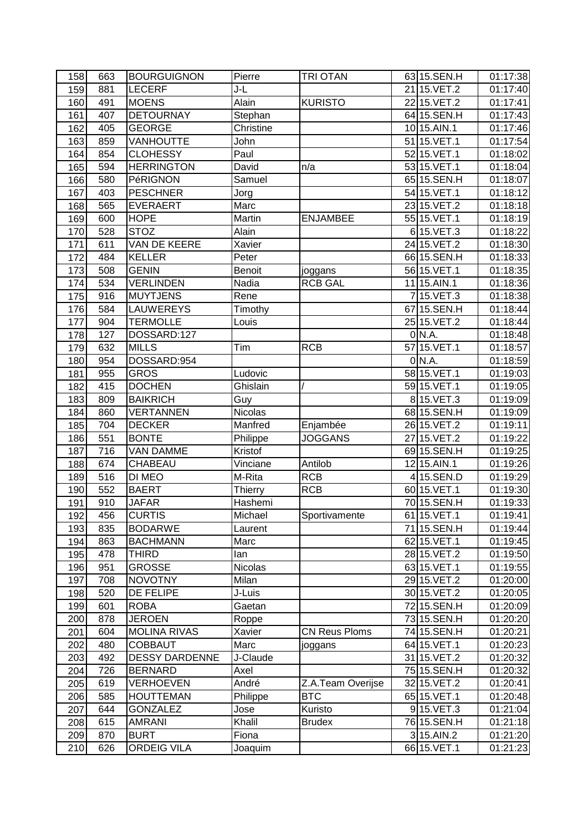| 158 | 663 | <b>BOURGUIGNON</b>    | Pierre         | <b>TRI OTAN</b>      | 63 15.SEN.H              | 01:17:38 |
|-----|-----|-----------------------|----------------|----------------------|--------------------------|----------|
| 159 | 881 | <b>LECERF</b>         | J-L            |                      | 2115.VET.2               | 01:17:40 |
| 160 | 491 | <b>MOENS</b>          | Alain          | <b>KURISTO</b>       | 22 15. VET. 2            | 01:17:41 |
| 161 | 407 | <b>DETOURNAY</b>      | Stephan        |                      | 64 15.SEN.H              | 01:17:43 |
| 162 | 405 | <b>GEORGE</b>         | Christine      |                      | 10 15.AIN.1              | 01:17:46 |
| 163 | 859 | VANHOUTTE             | John           |                      | 51 15. VET. 1            | 01:17:54 |
| 164 | 854 | <b>CLOHESSY</b>       | Paul           |                      | 52 15. VET. 1            | 01:18:02 |
| 165 | 594 | <b>HERRINGTON</b>     | David          | n/a                  | 53 15.VET.1              | 01:18:04 |
| 166 | 580 | PéRIGNON              | Samuel         |                      | 65 15.SEN.H              | 01:18:07 |
| 167 | 403 | <b>PESCHNER</b>       | Jorg           |                      | 54 15. VET. 1            | 01:18:12 |
| 168 | 565 | <b>EVERAERT</b>       | Marc           |                      | 23 15. VET. 2            | 01:18:18 |
| 169 | 600 | <b>HOPE</b>           | Martin         | <b>ENJAMBEE</b>      | 55 15. VET. 1            | 01:18:19 |
| 170 | 528 | <b>STOZ</b>           | Alain          |                      | 615.VET.3                | 01:18:22 |
| 171 | 611 | VAN DE KEERE          | Xavier         |                      | 24 15. VET. 2            | 01:18:30 |
| 172 | 484 | <b>KELLER</b>         | Peter          |                      | 66 15.SEN.H              | 01:18:33 |
| 173 | 508 | <b>GENIN</b>          | <b>Benoit</b>  | joggans              | 56 15.VET.1              | 01:18:35 |
| 174 | 534 | <b>VERLINDEN</b>      | Nadia          | <b>RCB GAL</b>       | 11 15.AIN.1              | 01:18:36 |
| 175 | 916 | <b>MUYTJENS</b>       | Rene           |                      | $715.$ VET.3             | 01:18:38 |
| 176 | 584 | LAUWEREYS             | Timothy        |                      | 67 15.SEN.H              | 01:18:44 |
| 177 | 904 | <b>TERMOLLE</b>       | Louis          |                      | 25 15. VET. 2            | 01:18:44 |
| 178 | 127 | DOSSARD:127           |                |                      | 0 N.A.                   | 01:18:48 |
| 179 | 632 | <b>MILLS</b>          | Tim            | <b>RCB</b>           | 57 15. VET. 1            | 01:18:57 |
| 180 | 954 | DOSSARD:954           |                |                      | 0 N.A.                   | 01:18:59 |
| 181 | 955 | <b>GROS</b>           | Ludovic        |                      | 58 15. VET. 1            | 01:19:03 |
| 182 | 415 | <b>DOCHEN</b>         | Ghislain       |                      | 59 15. VET. 1            | 01:19:05 |
| 183 | 809 | <b>BAIKRICH</b>       | Guy            |                      | 815.VET.3                | 01:19:09 |
| 184 | 860 | <b>VERTANNEN</b>      | Nicolas        |                      | 68 15.SEN.H              | 01:19:09 |
| 185 | 704 | <b>DECKER</b>         | Manfred        | Enjambée             | 26 15. VET. 2            | 01:19:11 |
| 186 | 551 | <b>BONTE</b>          | Philippe       | <b>JOGGANS</b>       | 2715.VET.2               | 01:19:22 |
| 187 | 716 | <b>VAN DAMME</b>      | Kristof        |                      | 69 15.SEN.H              | 01:19:25 |
| 188 | 674 | CHABEAU               | Vinciane       | Antilob              | 12 15.AIN.1              | 01:19:26 |
| 189 | 516 | DI MEO                | M-Rita         | <b>RCB</b>           | 415.SEN.D                | 01:19:29 |
| 190 | 552 | <b>BAERT</b>          | Thierry        | <b>RCB</b>           | 60 15. VET. 1            | 01:19:30 |
| 191 | 910 | <b>JAFAR</b>          | Hashemi        |                      | 7015.SEN.H               | 01:19:33 |
| 192 | 456 | <b>CURTIS</b>         | Michael        | Sportivamente        | 61 15. VET. 1            | 01:19:41 |
| 193 | 835 | <b>BODARWE</b>        | Laurent        |                      | 71 15.SEN.H              | 01:19:44 |
| 194 | 863 | <b>BACHMANN</b>       | Marc           |                      | 62 15. VET. 1            | 01:19:45 |
| 195 | 478 | THIRD                 | lan            |                      | 28 15. VET. 2            | 01:19:50 |
| 196 | 951 | <b>GROSSE</b>         | <b>Nicolas</b> |                      | 63 15. VET. 1            | 01:19:55 |
| 197 | 708 | <b>NOVOTNY</b>        | Milan          |                      | 29 15. VET. 2            | 01:20:00 |
| 198 | 520 | DE FELIPE             | J-Luis         |                      | 30 15. VET. 2            | 01:20:05 |
| 199 | 601 | <b>ROBA</b>           | Gaetan         |                      | $\overline{72}$ 15.SEN.H | 01:20:09 |
| 200 | 878 | <b>JEROEN</b>         | Roppe          |                      | 73 15.SEN.H              | 01:20:20 |
| 201 | 604 | <b>MOLINA RIVAS</b>   | Xavier         | <b>CN Reus Ploms</b> | 74 15.SEN.H              | 01:20:21 |
| 202 | 480 | <b>COBBAUT</b>        | Marc           | joggans              | 64 15. VET. 1            | 01:20:23 |
| 203 | 492 | <b>DESSY DARDENNE</b> | J-Claude       |                      | 31 15. VET. 2            | 01:20:32 |
| 204 | 726 | <b>BERNARD</b>        | Axel           |                      | 75 15.SEN.H              | 01:20:32 |
| 205 | 619 | <b>VERHOEVEN</b>      | André          | Z.A.Team Overijse    | 32 15. VET. 2            | 01:20:41 |
| 206 | 585 | <b>HOUTTEMAN</b>      | Philippe       | <b>BTC</b>           | 65 15. VET. 1            | 01:20:48 |
| 207 | 644 | <b>GONZALEZ</b>       | Jose           | Kuristo              | 915.VET.3                | 01:21:04 |
| 208 | 615 | <b>AMRANI</b>         | Khalil         | <b>Brudex</b>        | 76 15.SEN.H              | 01:21:18 |
| 209 | 870 | <b>BURT</b>           | Fiona          |                      | $3 15.$ AIN.2            | 01:21:20 |
| 210 | 626 | <b>ORDEIG VILA</b>    | Joaquim        |                      | 66 15.VET.1              | 01:21:23 |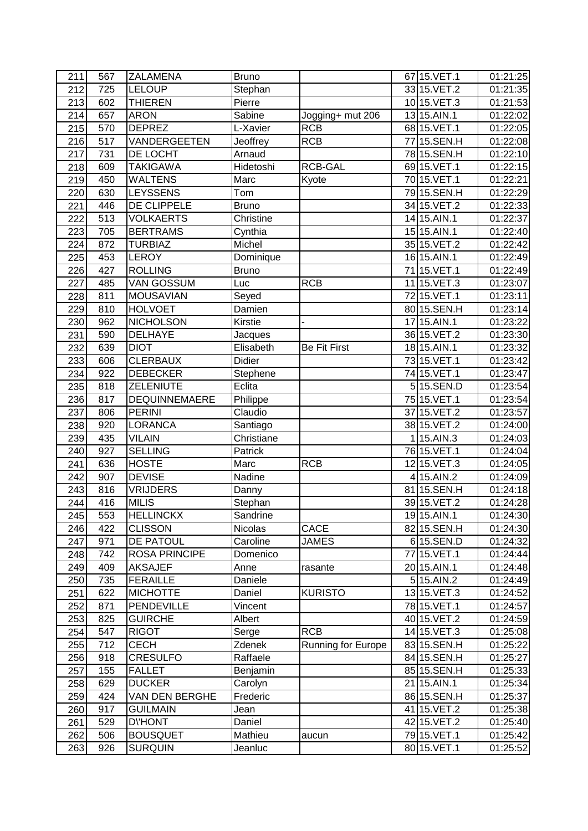| 211 | 567 | ZALAMENA             | <b>Bruno</b>   |                           | 67 15. VET. 1 | 01:21:25 |
|-----|-----|----------------------|----------------|---------------------------|---------------|----------|
| 212 | 725 | <b>LELOUP</b>        | Stephan        |                           | 33 15. VET. 2 | 01:21:35 |
| 213 | 602 | <b>THIEREN</b>       | Pierre         |                           | 10 15. VET.3  | 01:21:53 |
| 214 | 657 | <b>ARON</b>          | Sabine         | Jogging+ mut 206          | 13 15.AIN.1   | 01:22:02 |
| 215 | 570 | <b>DEPREZ</b>        | L-Xavier       | <b>RCB</b>                | 68 15. VET. 1 | 01:22:05 |
| 216 | 517 | VANDERGEETEN         | Jeoffrey       | <b>RCB</b>                | 77 15.SEN.H   | 01:22:08 |
| 217 | 731 | DE LOCHT             | Arnaud         |                           | 78 15.SEN.H   | 01:22:10 |
| 218 | 609 | <b>TAKIGAWA</b>      | Hidetoshi      | <b>RCB-GAL</b>            | 69 15. VET. 1 | 01:22:15 |
| 219 | 450 | <b>WALTENS</b>       | Marc           | Kyote                     | 70 15.VET.1   | 01:22:21 |
| 220 | 630 | <b>LEYSSENS</b>      | Tom            |                           | 7915.SEN.H    | 01:22:29 |
| 221 | 446 | DE CLIPPELE          | <b>Bruno</b>   |                           | 34 15. VET. 2 | 01:22:33 |
| 222 | 513 | <b>VOLKAERTS</b>     | Christine      |                           | 14 15.AIN.1   | 01:22:37 |
| 223 | 705 | <b>BERTRAMS</b>      | Cynthia        |                           | 15 15.AIN.1   | 01:22:40 |
| 224 | 872 | <b>TURBIAZ</b>       | Michel         |                           | 35 15. VET. 2 | 01:22:42 |
| 225 | 453 | <b>LEROY</b>         | Dominique      |                           | 16 15.AIN.1   | 01:22:49 |
| 226 | 427 | <b>ROLLING</b>       | <b>Bruno</b>   |                           | 71 15. VET. 1 | 01:22:49 |
| 227 | 485 | <b>VAN GOSSUM</b>    | Luc            | <b>RCB</b>                | 11 15. VET. 3 | 01:23:07 |
| 228 | 811 | <b>MOUSAVIAN</b>     | Seyed          |                           | 72 15. VET. 1 | 01:23:11 |
| 229 | 810 | <b>HOLVOET</b>       | Damien         |                           | 80 15.SEN.H   | 01:23:14 |
| 230 | 962 | <b>NICHOLSON</b>     | <b>Kirstie</b> |                           | 17 15.AIN.1   | 01:23:22 |
| 231 | 590 | <b>DELHAYE</b>       | Jacques        |                           | 36 15.VET.2   | 01:23:30 |
| 232 | 639 | <b>DIOT</b>          | Elisabeth      | <b>Be Fit First</b>       | 18 15.AIN.1   | 01:23:32 |
| 233 | 606 | <b>CLERBAUX</b>      | Didier         |                           | 73 15. VET. 1 | 01:23:42 |
| 234 | 922 | <b>DEBECKER</b>      | Stephene       |                           | 74 15. VET. 1 | 01:23:47 |
| 235 | 818 | ZELENIUTE            | Eclita         |                           | 515.SEN.D     | 01:23:54 |
| 236 | 817 | DEQUINNEMAERE        | Philippe       |                           | 75 15. VET. 1 | 01:23:54 |
| 237 | 806 | <b>PERINI</b>        | Claudio        |                           | 37 15. VET. 2 | 01:23:57 |
| 238 | 920 | <b>LORANCA</b>       | Santiago       |                           | 38 15. VET. 2 | 01:24:00 |
| 239 | 435 | <b>VILAIN</b>        | Christiane     |                           | 15.AIN.3      | 01:24:03 |
| 240 | 927 | <b>SELLING</b>       | Patrick        |                           | 76 15. VET. 1 | 01:24:04 |
| 241 | 636 | <b>HOSTE</b>         | Marc           | <b>RCB</b>                | 12 15. VET.3  | 01:24:05 |
| 242 | 907 | <b>DEVISE</b>        | Nadine         |                           | $4$ 15.AIN.2  | 01:24:09 |
| 243 | 816 | <b>VRIJDERS</b>      | Danny          |                           | 81 15.SEN.H   | 01:24:18 |
| 244 | 416 | <b>MILIS</b>         | Stephan        |                           | 39 15. VET. 2 | 01:24:28 |
| 245 | 553 | <b>HELLINCKX</b>     | Sandrine       |                           | 19 15.AIN.1   | 01:24:30 |
| 246 | 422 | <b>CLISSON</b>       | <b>Nicolas</b> | CACE                      | 82 15.SEN.H   | 01:24:30 |
| 247 | 971 | DE PATOUL            | Caroline       | <b>JAMES</b>              | 615.SEN.D     | 01:24:32 |
| 248 | 742 | <b>ROSA PRINCIPE</b> | Domenico       |                           | 77 15. VET. 1 | 01:24:44 |
| 249 | 409 | <b>AKSAJEF</b>       | Anne           | rasante                   | 20 15.AIN.1   | 01:24:48 |
| 250 | 735 | <b>FERAILLE</b>      | Daniele        |                           | $5 15.$ AIN.2 | 01:24:49 |
| 251 | 622 | <b>MICHOTTE</b>      | Daniel         | <b>KURISTO</b>            | 13 15. VET.3  | 01:24:52 |
| 252 | 871 | PENDEVILLE           | Vincent        |                           | 78 15. VET. 1 | 01:24:57 |
| 253 | 825 | <b>GUIRCHE</b>       | Albert         |                           | 40 15. VET. 2 | 01:24:59 |
| 254 | 547 | <b>RIGOT</b>         | Serge          | <b>RCB</b>                | 14 15. VET. 3 | 01:25:08 |
| 255 | 712 | <b>CECH</b>          | Zdenek         | <b>Running for Europe</b> | 83 15.SEN.H   | 01:25:22 |
| 256 | 918 | <b>CRESULFO</b>      | Raffaele       |                           | 84 15.SEN.H   | 01:25:27 |
| 257 | 155 | <b>FALLET</b>        | Benjamin       |                           | 85 15.SEN.H   | 01:25:33 |
| 258 | 629 | <b>DUCKER</b>        | Carolyn        |                           | 21 15.AIN.1   | 01:25:34 |
| 259 | 424 | VAN DEN BERGHE       | Frederic       |                           | 86 15.SEN.H   | 01:25:37 |
| 260 | 917 | <b>GUILMAIN</b>      | Jean           |                           | 41 15. VET. 2 | 01:25:38 |
| 261 | 529 | <b>D</b> VHONT       | Daniel         |                           | 42 15. VET. 2 | 01:25:40 |
| 262 | 506 | <b>BOUSQUET</b>      | Mathieu        | aucun                     | 79 15. VET. 1 | 01:25:42 |
| 263 | 926 | <b>SURQUIN</b>       | Jeanluc        |                           | 80 15.VET.1   | 01:25:52 |
|     |     |                      |                |                           |               |          |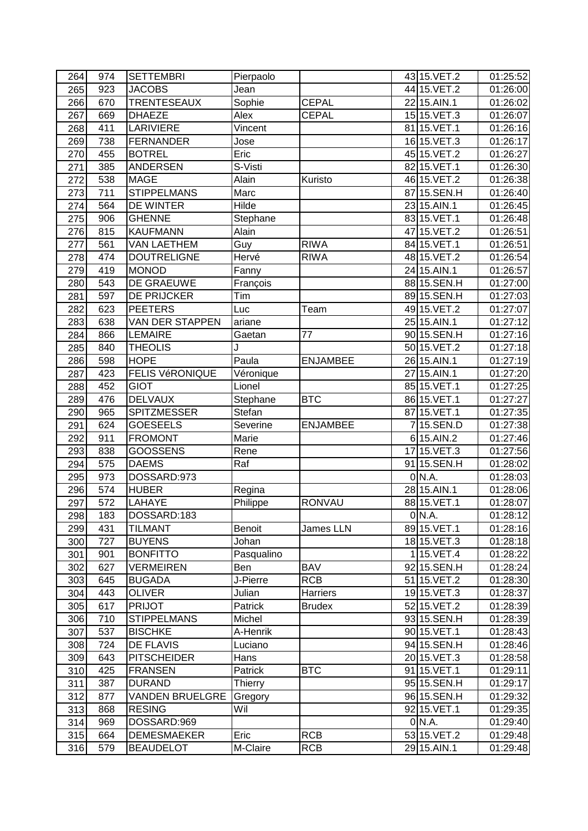| 264 | 974 | <b>SETTEMBRI</b>       | Pierpaolo     |                 | 43 15. VET. 2 | 01:25:52 |
|-----|-----|------------------------|---------------|-----------------|---------------|----------|
| 265 | 923 | <b>JACOBS</b>          | Jean          |                 | 44 15. VET. 2 | 01:26:00 |
| 266 | 670 | <b>TRENTESEAUX</b>     | Sophie        | <b>CEPAL</b>    | 22 15.AIN.1   | 01:26:02 |
| 267 | 669 | <b>DHAEZE</b>          | Alex          | <b>CEPAL</b>    | 15 15. VET.3  | 01:26:07 |
| 268 | 411 | <b>LARIVIERE</b>       | Vincent       |                 | 81 15. VET. 1 | 01:26:16 |
| 269 | 738 | <b>FERNANDER</b>       | Jose          |                 | 16 15. VET.3  | 01:26:17 |
| 270 | 455 | <b>BOTREL</b>          | Eric          |                 | 45 15. VET. 2 | 01:26:27 |
| 271 | 385 | <b>ANDERSEN</b>        | S-Visti       |                 | 82 15. VET. 1 | 01:26:30 |
| 272 | 538 | <b>MAGE</b>            | Alain         | Kuristo         | 46 15. VET. 2 | 01:26:38 |
| 273 | 711 | <b>STIPPELMANS</b>     | Marc          |                 | 8715.SEN.H    | 01:26:40 |
| 274 | 564 | DE WINTER              | Hilde         |                 | 23 15.AIN.1   | 01:26:45 |
| 275 | 906 | <b>GHENNE</b>          | Stephane      |                 | 83 15. VET. 1 | 01:26:48 |
| 276 | 815 | <b>KAUFMANN</b>        | Alain         |                 | 47 15. VET. 2 | 01:26:51 |
| 277 | 561 | <b>VAN LAETHEM</b>     | Guy           | <b>RIWA</b>     | 84 15. VET. 1 | 01:26:51 |
| 278 | 474 | <b>DOUTRELIGNE</b>     | Hervé         | <b>RIWA</b>     | 48 15. VET. 2 | 01:26:54 |
| 279 | 419 | <b>MONOD</b>           | Fanny         |                 | 24 15.AIN.1   | 01:26:57 |
| 280 | 543 | DE GRAEUWE             | François      |                 | 88 15.SEN.H   | 01:27:00 |
| 281 | 597 | DE PRIJCKER            | Tim           |                 | 89 15.SEN.H   |          |
|     |     |                        |               |                 | 49 15. VET. 2 | 01:27:03 |
| 282 | 623 | <b>PEETERS</b>         | Luc           | Team            |               | 01:27:07 |
| 283 | 638 | <b>VAN DER STAPPEN</b> | ariane        |                 | 25 15.AIN.1   | 01:27:12 |
| 284 | 866 | <b>LEMAIRE</b>         | Gaetan        | 77              | 90 15.SEN.H   | 01:27:16 |
| 285 | 840 | <b>THEOLIS</b>         | J             |                 | 50 15. VET. 2 | 01:27:18 |
| 286 | 598 | <b>HOPE</b>            | Paula         | <b>ENJAMBEE</b> | 26 15.AIN.1   | 01:27:19 |
| 287 | 423 | <b>FELIS VéRONIQUE</b> | Véronique     |                 | 27 15.AIN.1   | 01:27:20 |
| 288 | 452 | <b>GIOT</b>            | Lionel        |                 | 85 15. VET. 1 | 01:27:25 |
| 289 | 476 | <b>DELVAUX</b>         | Stephane      | <b>BTC</b>      | 86 15. VET. 1 | 01:27:27 |
| 290 | 965 | <b>SPITZMESSER</b>     | Stefan        |                 | 8715.VET.1    | 01:27:35 |
| 291 | 624 | <b>GOESEELS</b>        | Severine      | <b>ENJAMBEE</b> | 715.SEN.D     | 01:27:38 |
| 292 | 911 | <b>FROMONT</b>         | Marie         |                 | 6 15.AIN.2    | 01:27:46 |
| 293 | 838 | <b>GOOSSENS</b>        | Rene          |                 | 17 15. VET.3  | 01:27:56 |
| 294 | 575 | <b>DAEMS</b>           | Raf           |                 | 91 15.SEN.H   | 01:28:02 |
| 295 | 973 | DOSSARD:973            |               |                 | $0\vert N.A.$ | 01:28:03 |
| 296 | 574 | <b>HUBER</b>           | Regina        |                 | 28 15.AIN.1   | 01:28:06 |
| 297 | 572 | LAHAYE                 | Philippe      | <b>RONVAU</b>   | 88 15. VET. 1 | 01:28:07 |
| 298 | 183 | DOSSARD:183            |               |                 | $0$ N.A.      | 01:28:12 |
| 299 | 431 | TILMANT                | <b>Benoit</b> | James LLN       | 89 15. VET. 1 | 01:28:16 |
| 300 | 727 | <b>BUYENS</b>          | Johan         |                 | 18 15. VET.3  | 01:28:18 |
| 301 | 901 | <b>BONFITTO</b>        | Pasqualino    |                 | 115.VET.4     | 01:28:22 |
| 302 | 627 | <b>VERMEIREN</b>       | Ben           | <b>BAV</b>      | 92 15.SEN.H   | 01:28:24 |
| 303 | 645 | <b>BUGADA</b>          | J-Pierre      | <b>RCB</b>      | 51 15. VET. 2 | 01:28:30 |
| 304 | 443 | <b>OLIVER</b>          | Julian        | Harriers        | 19 15. VET.3  | 01:28:37 |
| 305 | 617 | <b>PRIJOT</b>          | Patrick       | <b>Brudex</b>   | 52 15. VET. 2 | 01:28:39 |
| 306 | 710 | <b>STIPPELMANS</b>     | Michel        |                 | 93 15.SEN.H   | 01:28:39 |
| 307 | 537 | <b>BISCHKE</b>         | A-Henrik      |                 | 90 15. VET. 1 | 01:28:43 |
| 308 | 724 | <b>DE FLAVIS</b>       | Luciano       |                 | 94 15.SEN.H   | 01:28:46 |
| 309 | 643 | <b>PITSCHEIDER</b>     | Hans          |                 | 20 15. VET.3  | 01:28:58 |
| 310 | 425 | <b>FRANSEN</b>         | Patrick       | <b>BTC</b>      | 91 15. VET. 1 | 01:29:11 |
| 311 | 387 | <b>DURAND</b>          | Thierry       |                 | 95 15.SEN.H   | 01:29:17 |
| 312 | 877 | <b>VANDEN BRUELGRE</b> | Gregory       |                 | 96 15.SEN.H   | 01:29:32 |
| 313 | 868 | <b>RESING</b>          | Wil           |                 | 92 15. VET. 1 | 01:29:35 |
| 314 | 969 | DOSSARD:969            |               |                 | $0\,$ N.A.    | 01:29:40 |
| 315 | 664 | <b>DEMESMAEKER</b>     | Eric          | <b>RCB</b>      | 53 15. VET. 2 | 01:29:48 |
| 316 | 579 | <b>BEAUDELOT</b>       | M-Claire      | <b>RCB</b>      | 29 15.AIN.1   | 01:29:48 |
|     |     |                        |               |                 |               |          |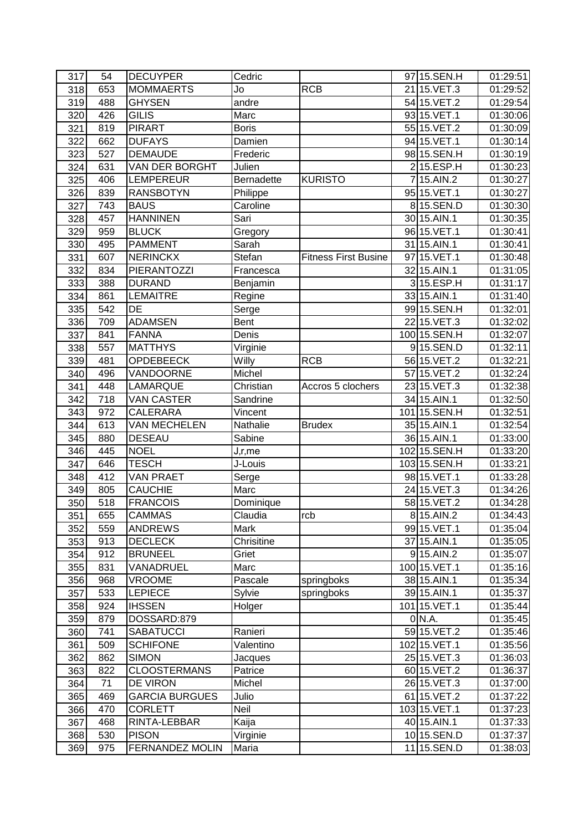| 317        | 54  | <b>DECUYPER</b>        | Cedric            |                             | 97 15.SEN.H    | 01:29:51             |
|------------|-----|------------------------|-------------------|-----------------------------|----------------|----------------------|
| 318        | 653 | <b>MOMMAERTS</b>       | Jo                | <b>RCB</b>                  | 2115.VET.3     | 01:29:52             |
| 319        | 488 | <b>GHYSEN</b>          | andre             |                             | 54 15. VET. 2  | 01:29:54             |
| 320        | 426 | <b>GILIS</b>           | Marc              |                             | 93 15. VET. 1  | 01:30:06             |
| 321        | 819 | <b>PIRART</b>          | <b>Boris</b>      |                             | 55 15. VET.2   | 01:30:09             |
| 322        | 662 | <b>DUFAYS</b>          | Damien            |                             | 94 15. VET. 1  | 01:30:14             |
| 323        | 527 | <b>DEMAUDE</b>         | Frederic          |                             | 98 15.SEN.H    | 01:30:19             |
| 324        | 631 | VAN DER BORGHT         | Julien            |                             | 215.ESP.H      | 01:30:23             |
| 325        | 406 | <b>LEMPEREUR</b>       | Bernadette        | <b>KURISTO</b>              | 715.AIN.2      | 01:30:27             |
| 326        | 839 | <b>RANSBOTYN</b>       | Philippe          |                             | 95 15. VET. 1  | 01:30:27             |
| 327        | 743 | <b>BAUS</b>            | Caroline          |                             | 815.SEN.D      | 01:30:30             |
| 328        | 457 | <b>HANNINEN</b>        | Sari              |                             | 30 15.AIN.1    | 01:30:35             |
| 329        | 959 | <b>BLUCK</b>           | Gregory           |                             | 96 15. VET. 1  | 01:30:41             |
| 330        | 495 | <b>PAMMENT</b>         | Sarah             |                             | 31 15.AIN.1    | 01:30:41             |
| 331        | 607 | <b>NERINCKX</b>        | Stefan            | <b>Fitness First Busine</b> | 97 15. VET. 1  | 01:30:48             |
| 332        | 834 | <b>PIERANTOZZI</b>     | Francesca         |                             | 32 15.AIN.1    | 01:31:05             |
| 333        | 388 | <b>DURAND</b>          | Benjamin          |                             | 315.ESP.H      | 01:31:17             |
| 334        | 861 | <b>LEMAITRE</b>        | Regine            |                             | 33 15.AIN.1    | 01:31:40             |
| 335        | 542 | DE                     | Serge             |                             | 99 15.SEN.H    | 01:32:01             |
| 336        | 709 | <b>ADAMSEN</b>         | Bent              |                             | 22 15. VET.3   | 01:32:02             |
| 337        | 841 | <b>FANNA</b>           | Denis             |                             | 100 15. SEN. H | 01:32:07             |
| 338        | 557 | <b>MATTHYS</b>         | Virginie          |                             | 915.SEN.D      | 01:32:11             |
| 339        | 481 | <b>OPDEBEECK</b>       | Willy             | <b>RCB</b>                  | 56 15. VET. 2  | 01:32:21             |
| 340        | 496 | VANDOORNE              | Michel            |                             | 57 15. VET. 2  | 01:32:24             |
| 341        | 448 | LAMARQUE               | Christian         | Accros 5 clochers           | 23 15. VET.3   | 01:32:38             |
| 342        | 718 | <b>VAN CASTER</b>      | Sandrine          |                             | 34 15.AIN.1    | 01:32:50             |
| 343        | 972 | CALERARA               | Vincent           |                             | 10115.SEN.H    | 01:32:51             |
| 344        | 613 | <b>VAN MECHELEN</b>    | Nathalie          | <b>Brudex</b>               | 35 15.AIN.1    | 01:32:54             |
| 345        | 880 | <b>DESEAU</b>          | Sabine            |                             | 36 15.AIN.1    | 01:33:00             |
| 346        | 445 | <b>NOEL</b>            |                   |                             | 102 15.SEN.H   | 01:33:20             |
| 347        | 646 | <b>TESCH</b>           | J,r,me<br>J-Louis |                             | 103 15.SEN.H   | 01:33:21             |
| 348        | 412 | <b>VAN PRAET</b>       | Serge             |                             | 98 15. VET. 1  | 01:33:28             |
| 349        | 805 | <b>CAUCHIE</b>         | Marc              |                             | 24 15. VET.3   | 01:34:26             |
| 350        | 518 | <b>FRANCOIS</b>        | Dominique         |                             | 58 15. VET. 2  | 01:34:28             |
| 351        | 655 | <b>CAMMAS</b>          | Claudia           | rcb                         | 8 15.AIN.2     | 01:34:43             |
|            |     |                        |                   |                             | 99 15. VET. 1  |                      |
| 352<br>353 | 559 | <b>ANDREWS</b>         | Mark              |                             |                | 01:35:04             |
|            | 913 | <b>DECLECK</b>         | Chrisitine        |                             | 37 15.AIN.1    | 01:35:05<br>01:35:07 |
| 354        | 912 | <b>BRUNEEL</b>         | Griet             |                             | $9 15.$ AIN.2  |                      |
| 355        | 831 | VANADRUEL              | Marc              |                             | 100 15.VET.1   | 01:35:16             |
| 356        | 968 | VROOME                 | Pascale           | springboks                  | 38 15.AIN.1    | 01:35:34             |
| 357        | 533 | LEPIECE                | Sylvie            | springboks                  | 39 15.AIN.1    | 01:35:37             |
| 358        | 924 | <b>IHSSEN</b>          | Holger            |                             | 101 15. VET. 1 | 01:35:44             |
| 359        | 879 | DOSSARD:879            |                   |                             | 0 N.A.         | 01:35:45             |
| 360        | 741 | <b>SABATUCCI</b>       | Ranieri           |                             | 59 15.VET.2    | 01:35:46             |
| 361        | 509 | <b>SCHIFONE</b>        | Valentino         |                             | 102 15. VET. 1 | 01:35:56             |
| 362        | 862 | <b>SIMON</b>           | Jacques           |                             | 25 15. VET.3   | 01:36:03             |
| 363        | 822 | CLOOSTERMANS           | Patrice           |                             | 60 15. VET. 2  | 01:36:37             |
| 364        | 71  | DE VIRON               | Michel            |                             | 26 15. VET.3   | 01:37:00             |
| 365        | 469 | <b>GARCIA BURGUES</b>  | Julio             |                             | 61 15. VET. 2  | 01:37:22             |
| 366        | 470 | <b>CORLETT</b>         | Neil              |                             | 103 15. VET. 1 | 01:37:23             |
| 367        | 468 | RINTA-LEBBAR           | Kaija             |                             | 40 15.AIN.1    | 01:37:33             |
| 368        | 530 | <b>PISON</b>           | Virginie          |                             | 10 15.SEN.D    | 01:37:37             |
| 369        | 975 | <b>FERNANDEZ MOLIN</b> | Maria             |                             | 1115.SEN.D     | 01:38:03             |